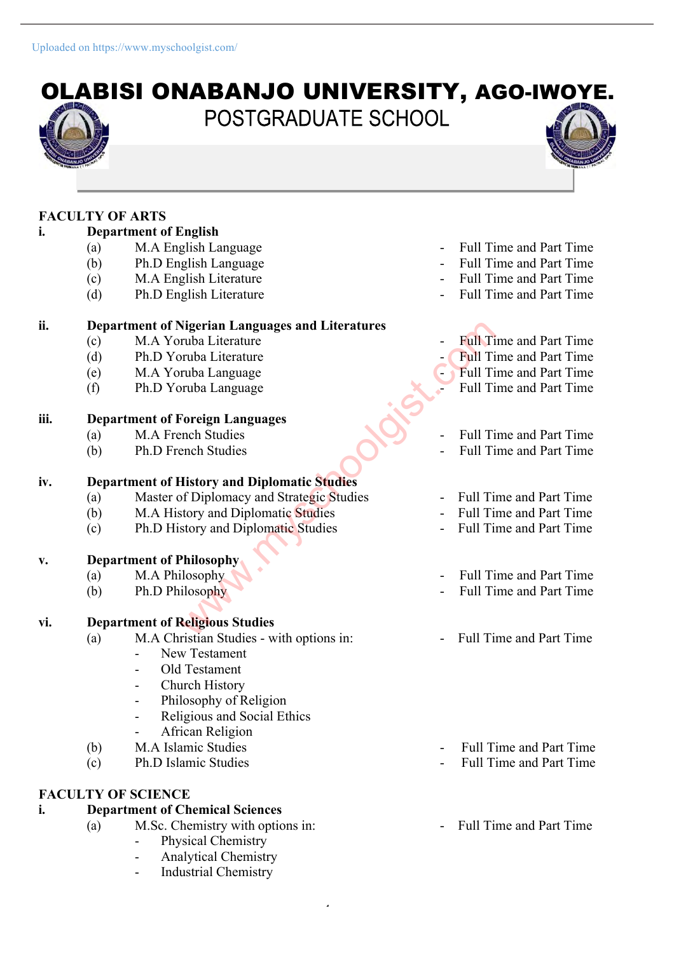# OLABISI ONABANJO UNIVERSITY, AGO-IWOYE. POSTGRADUATE SCHOOL

### **FACULTY OF ARTS**

## **i. Department of English**

- (a) M.A English Language Full Time and Part Time
- (b) Ph.D English Language Full Time and Part Time
- (c) M.A English Literature Full Time and Part Time
- (d) Ph.D English Literature Full Time and Part Time

#### **ii. Department of Nigerian Languages and Literatures**

- (c) M.A Yoruba Literature Full Time and Part Time
- (d) Ph.D Yoruba Literature Full Time and Part Time
- (e) M.A Yoruba Language Full Time and Part Time
- (f) Ph.D Yoruba Language Full Time and Part Time

## **iii. Department of Foreign Languages**<br>(a) **M.A French Studies**

- (a) M.A French Studies Full Time and Part Time
- (b) Ph.D French Studies Full Time and Part Time

#### **iv. Department of History and Diplomatic Studies**

- (a) Master of Diplomacy and Strategic Studies Full Time and Part Time Nigerian Languages and Literatures<br>
ruba Literature<br>
ruba Literature<br>
ruba Language<br>
Foreign Languages<br>
Foreign Languages<br>
Foreign Languages<br>
Foreign Languages<br>
Foreign Languages<br>
Foreign Languages<br>
Foreign Languages<br>
Fore
- (b) M.A History and Diplomatic Studies Full Time and Part Time
- (c) Ph.D History and Diplomatic Studies Full Time and Part Time

#### **v. Department of Philosophy**

- 
- 

#### **vi. Department of Religious Studies**

- (a) M.A Christian Studies with options in: Full Time and Part Time
	- New Testament
	- Old Testament
	- Church History
	- Philosophy of Religion
	- Religious and Social Ethics
	- African Religion
	-
- 

#### **FACULTY OF SCIENCE**

#### **i. Department of Chemical Sciences**

- (a) M.Sc. Chemistry with options in: Full Time and Part Time
	- Physical Chemistry
	- Analytical Chemistry

 $\ddot{\phantom{1}}$ 

Industrial Chemistry

- 
- 
- 
- 

- 
- 
- 
- 
- 
- 
- 
- 
- (a) M.A Philosophy  $\blacksquare$  Time and Part Time
- (b) Ph.D Philosophy Full Time and Part Time
	-
- (b) M.A Islamic Studies Full Time and Part Time
- (c) Ph.D Islamic Studies Full Time and Part Time
	-

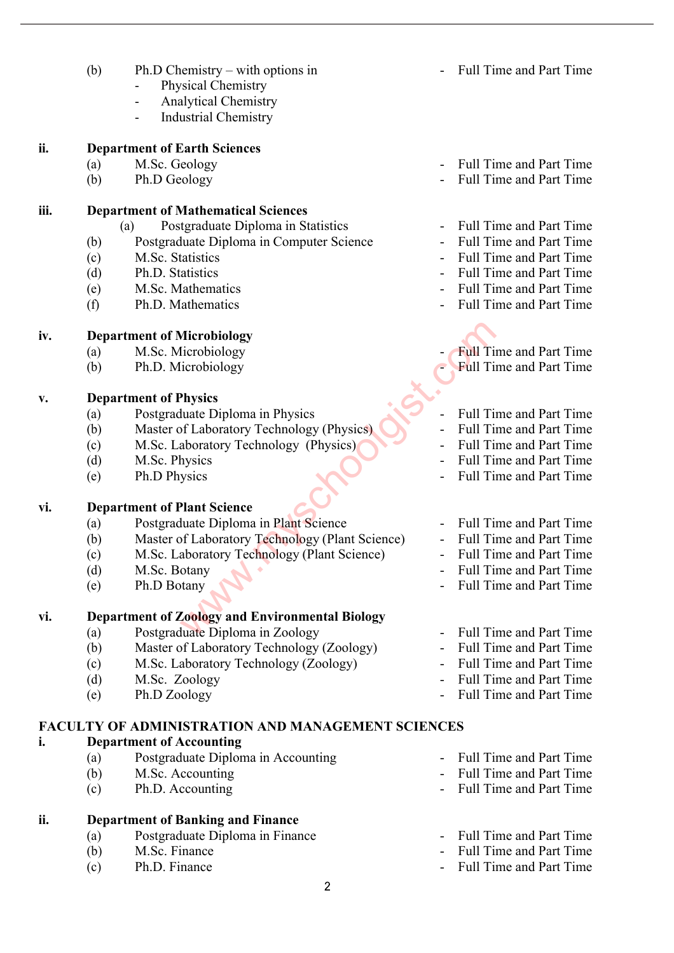- (b) Ph.D Chemistry with options in  $\blacksquare$  Full Time and Part Time
	- Physical Chemistry
	- Analytical Chemistry
	- Industrial Chemistry

#### **ii. Department of Earth Sciences**

- 
- 

#### **iii. Department of Mathematical Sciences**

- (a) Postgraduate Diploma in Statistics Full Time and Part Time
- (b) Postgraduate Diploma in Computer Science Full Time and Part Time
- 
- 
- (e) M.Sc. Mathematics Full Time and Part Time
- (f) Ph.D. Mathematics Full Time and Part Time

#### **iv. Department of Microbiology**

- (a) M.Sc. Microbiology Full Time and Part Time
- (b) Ph.D. Microbiology  **Full Time and Part Time**

#### **v. Department of Physics**

- (a) Postgraduate Diploma in Physics Full Time and Part Time
- (b) Master of Laboratory Technology (Physics) Full Time and Part Time
- (c) M.Sc. Laboratory Technology (Physics) Full Time and Part Time
- 
- 

#### **vi. Department of Plant Science**

- (a) Postgraduate Diploma in Plant Science Full Time and Part Time
- (b) Master of Laboratory Technology (Plant Science) Full Time and Part Time Microbiology<br>
Iicrobiology<br>
Physics<br>
Physics<br>
Unate Diploma in Physics<br>
of Laboratory Technology (Physics)<br>
Physics<br>
Plant Science<br>
Plant Science<br>
Plant Science<br>
Plant Science<br>
Plant Science<br>
Plant Science<br>
Plant Science<br>
- (c) M.Sc. Laboratory Technology (Plant Science) Full Time and Part Time
- 
- 

#### **vi. Department of Zoology and Environmental Biology**

- (a) Postgraduate Diploma in Zoology Full Time and Part Time
- (b) Master of Laboratory Technology (Zoology) Full Time and Part Time
- (c) M.Sc. Laboratory Technology (Zoology) Full Time and Part Time
- 
- 

#### **FACULTY OF ADMINISTRATION AND MANAGEMENT SCIENCES**

#### **i. Department of Accounting**

- (a) Postgraduate Diploma in Accounting Full Time and Part Time
- 
- 

#### **ii. Department of Banking and Finance**

- (a) Postgraduate Diploma in Finance Full Time and Part Time<br>
(b) M Sc Finance Full Time and Part Time
- 
- 
- (a) M.Sc. Geology Full Time and Part Time
- (b) Ph.D Geology Full Time and Part Time
	-
	-
- (c) M.Sc. Statistics Full Time and Part Time
- (d) Ph.D. Statistics Full Time and Part Time
	-
	- -
	-
	-
	-
	-
- (d) M.Sc. Physics Full Time and Part Time
- (e) Ph.D Physics Full Time and Part Time
	-
	-
	-
- (d) M.Sc. Botany  **Full Time and Part Time**
- (e) Ph.D Botany **Contract Contract Contract Contract Contract Contract Contract Contract Contract Contract Contract Contract Contract Contract Contract Contract Contract Contract Contract Contract Contract Contract Contrac** 
	-
	-
	-
- (d) M.Sc. Zoology Full Time and Part Time
- (e) Ph.D Zoology Full Time and Part Time
	-
- (b) M.Sc. Accounting Full Time and Part Time
- (c) Ph.D. Accounting Full Time and Part Time
	-
- (b) M.Sc. Finance  $\overline{a}$  Full Time and Part Time
- (c) Ph.D. Finance Full Time and Part Time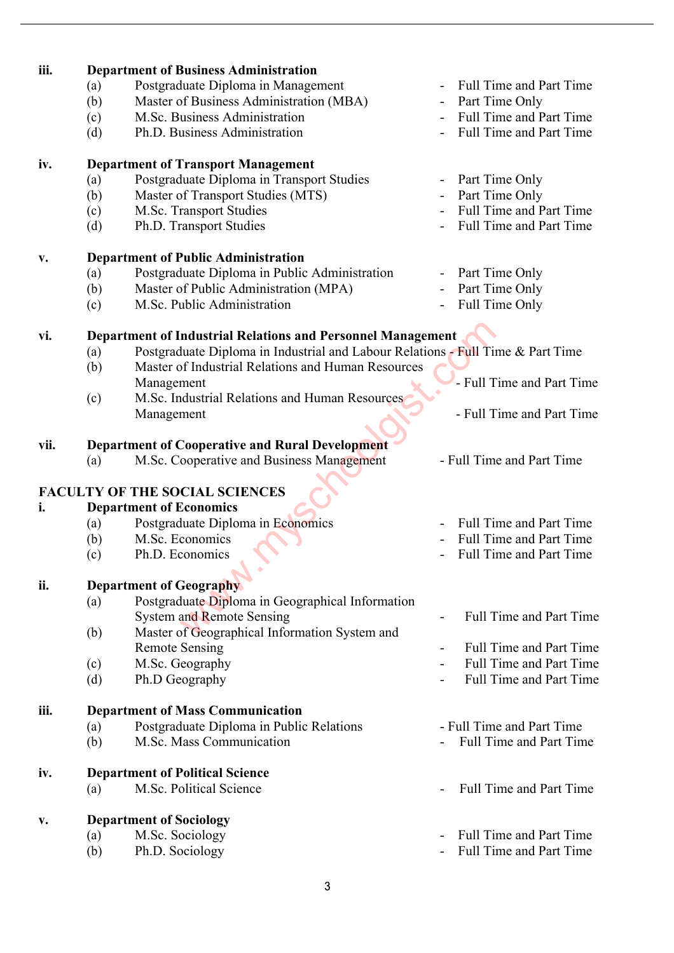| iii. | <b>Department of Business Administration</b>                                           |                                            |  |  |  |  |
|------|----------------------------------------------------------------------------------------|--------------------------------------------|--|--|--|--|
|      | Postgraduate Diploma in Management<br>(a)                                              | Full Time and Part Time                    |  |  |  |  |
|      | Master of Business Administration (MBA)<br>(b)                                         | Part Time Only                             |  |  |  |  |
|      | M.Sc. Business Administration<br>(c)                                                   | Full Time and Part Time                    |  |  |  |  |
|      | Ph.D. Business Administration<br>(d)                                                   | <b>Full Time and Part Time</b>             |  |  |  |  |
| iv.  | <b>Department of Transport Management</b>                                              |                                            |  |  |  |  |
|      | Postgraduate Diploma in Transport Studies<br>(a)                                       | Part Time Only                             |  |  |  |  |
|      | Master of Transport Studies (MTS)<br>(b)                                               | Part Time Only                             |  |  |  |  |
|      |                                                                                        | <b>Full Time and Part Time</b>             |  |  |  |  |
|      | M.Sc. Transport Studies<br>(c)                                                         |                                            |  |  |  |  |
|      | Ph.D. Transport Studies<br>(d)                                                         | Full Time and Part Time                    |  |  |  |  |
| v.   | <b>Department of Public Administration</b>                                             |                                            |  |  |  |  |
|      | Postgraduate Diploma in Public Administration<br>(a)                                   | Part Time Only<br>$\blacksquare$           |  |  |  |  |
|      | Master of Public Administration (MPA)<br>(b)                                           | Part Time Only                             |  |  |  |  |
|      | M.Sc. Public Administration<br>(c)                                                     | Full Time Only<br>$\overline{\phantom{a}}$ |  |  |  |  |
|      |                                                                                        |                                            |  |  |  |  |
| vi.  | <b>Department of Industrial Relations and Personnel Management</b>                     |                                            |  |  |  |  |
|      | Postgraduate Diploma in Industrial and Labour Relations - Full Time & Part Time<br>(a) |                                            |  |  |  |  |
|      | Master of Industrial Relations and Human Resources<br>(b)                              |                                            |  |  |  |  |
|      | Management                                                                             | - Full Time and Part Time                  |  |  |  |  |
|      | M.Sc. Industrial Relations and Human Resources<br>(c)                                  |                                            |  |  |  |  |
|      | Management                                                                             | - Full Time and Part Time                  |  |  |  |  |
| vii. | <b>Department of Cooperative and Rural Development</b>                                 |                                            |  |  |  |  |
|      | M.Sc. Cooperative and Business Management<br>(a)                                       | - Full Time and Part Time                  |  |  |  |  |
|      |                                                                                        |                                            |  |  |  |  |
|      | <b>FACULTY OF THE SOCIAL SCIENCES</b>                                                  |                                            |  |  |  |  |
| i.   | <b>Department of Economics</b>                                                         |                                            |  |  |  |  |
|      | Postgraduate Diploma in Economics<br>(a)                                               | <b>Full Time and Part Time</b>             |  |  |  |  |
|      | (b)<br>M.Sc. Economics                                                                 | Full Time and Part Time                    |  |  |  |  |
|      | (c)<br>Ph.D. Economics                                                                 | Full Time and Part Time                    |  |  |  |  |
|      |                                                                                        |                                            |  |  |  |  |
| ii.  | <b>Department of Geography</b>                                                         |                                            |  |  |  |  |
|      | Postgraduate Diploma in Geographical Information<br>(a)                                |                                            |  |  |  |  |
|      | <b>System and Remote Sensing</b>                                                       | <b>Full Time and Part Time</b>             |  |  |  |  |
|      | Master of Geographical Information System and<br>(b)                                   |                                            |  |  |  |  |
|      | <b>Remote Sensing</b>                                                                  | <b>Full Time and Part Time</b>             |  |  |  |  |
|      |                                                                                        | <b>Full Time and Part Time</b>             |  |  |  |  |
|      | M.Sc. Geography<br>(c)                                                                 |                                            |  |  |  |  |
|      | Ph.D Geography<br>(d)                                                                  | <b>Full Time and Part Time</b>             |  |  |  |  |
| iii. | <b>Department of Mass Communication</b>                                                |                                            |  |  |  |  |
|      | Postgraduate Diploma in Public Relations<br>(a)                                        | - Full Time and Part Time                  |  |  |  |  |
|      | M.Sc. Mass Communication<br>(b)                                                        | <b>Full Time and Part Time</b>             |  |  |  |  |
| iv.  | <b>Department of Political Science</b>                                                 |                                            |  |  |  |  |
|      | M.Sc. Political Science<br>(a)                                                         | <b>Full Time and Part Time</b>             |  |  |  |  |
|      |                                                                                        |                                            |  |  |  |  |
| V.   | <b>Department of Sociology</b>                                                         |                                            |  |  |  |  |
|      | M.Sc. Sociology<br>(a)                                                                 | Full Time and Part Time                    |  |  |  |  |
|      | Ph.D. Sociology<br>(b)                                                                 | Full Time and Part Time                    |  |  |  |  |
|      |                                                                                        |                                            |  |  |  |  |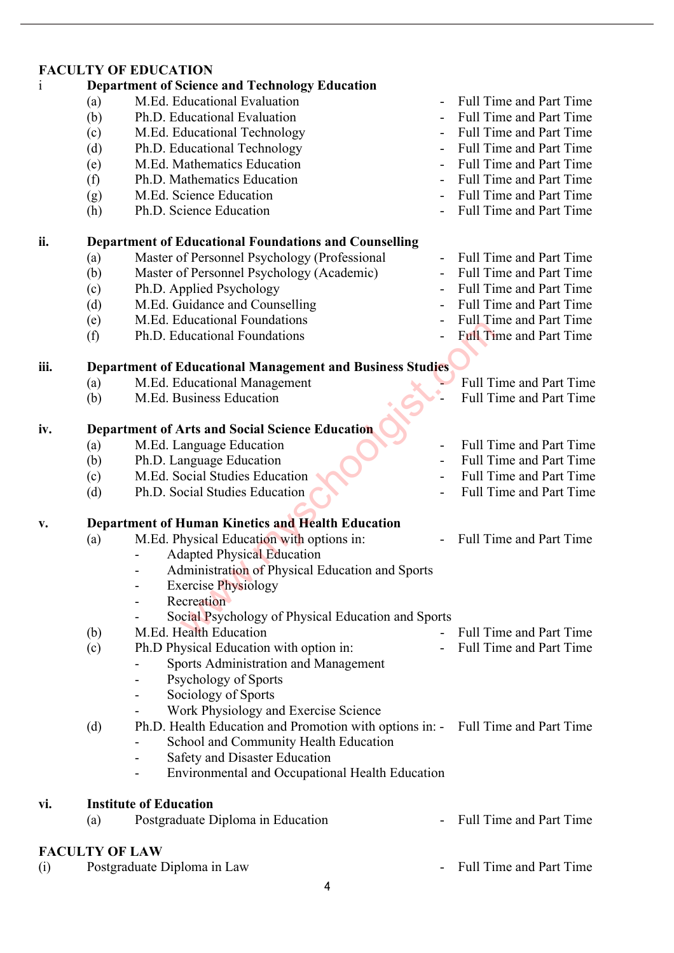|              |                                                                  | <b>FACULTY OF EDUCATION</b>                                                     |                              |                                |  |  |  |
|--------------|------------------------------------------------------------------|---------------------------------------------------------------------------------|------------------------------|--------------------------------|--|--|--|
| $\mathbf{1}$ |                                                                  | <b>Department of Science and Technology Education</b>                           |                              |                                |  |  |  |
|              | (a)                                                              | M.Ed. Educational Evaluation                                                    | $\overline{\phantom{0}}$     | <b>Full Time and Part Time</b> |  |  |  |
|              | (b)                                                              | Ph.D. Educational Evaluation                                                    |                              | Full Time and Part Time        |  |  |  |
|              | (c)                                                              | M.Ed. Educational Technology                                                    |                              | Full Time and Part Time        |  |  |  |
|              | (d)                                                              | Ph.D. Educational Technology                                                    |                              | Full Time and Part Time        |  |  |  |
|              | (e)                                                              | M.Ed. Mathematics Education                                                     |                              | <b>Full Time and Part Time</b> |  |  |  |
|              | (f)                                                              | Ph.D. Mathematics Education                                                     |                              | <b>Full Time and Part Time</b> |  |  |  |
|              | (g)                                                              | M.Ed. Science Education                                                         |                              | <b>Full Time and Part Time</b> |  |  |  |
|              | (h)                                                              | Ph.D. Science Education                                                         |                              | Full Time and Part Time        |  |  |  |
| ii.          | <b>Department of Educational Foundations and Counselling</b>     |                                                                                 |                              |                                |  |  |  |
|              | (a)                                                              | Master of Personnel Psychology (Professional                                    | $\overline{\phantom{0}}$     | <b>Full Time and Part Time</b> |  |  |  |
|              | (b)                                                              | Master of Personnel Psychology (Academic)                                       |                              | <b>Full Time and Part Time</b> |  |  |  |
|              | (c)                                                              | Ph.D. Applied Psychology                                                        |                              | <b>Full Time and Part Time</b> |  |  |  |
|              | (d)                                                              | M.Ed. Guidance and Counselling                                                  |                              | Full Time and Part Time        |  |  |  |
|              | (e)                                                              | M.Ed. Educational Foundations                                                   |                              | Full Time and Part Time        |  |  |  |
|              | (f)                                                              | Ph.D. Educational Foundations                                                   |                              | <b>Full Time and Part Time</b> |  |  |  |
| iii.         | <b>Department of Educational Management and Business Studies</b> |                                                                                 |                              |                                |  |  |  |
|              | (a)                                                              | M.Ed. Educational Management                                                    |                              | <b>Full Time and Part Time</b> |  |  |  |
|              | (b)                                                              | M.Ed. Business Education                                                        |                              | <b>Full Time and Part Time</b> |  |  |  |
| iv.          | <b>Department of Arts and Social Science Education</b>           |                                                                                 |                              |                                |  |  |  |
|              | (a)                                                              | M.Ed. Language Education                                                        | $\overline{\phantom{0}}$     | <b>Full Time and Part Time</b> |  |  |  |
|              | (b)                                                              | Ph.D. Language Education                                                        | $\qquad \qquad \blacksquare$ | <b>Full Time and Part Time</b> |  |  |  |
|              | (c)                                                              | M.Ed. Social Studies Education                                                  |                              | Full Time and Part Time        |  |  |  |
|              | (d)                                                              | Ph.D. Social Studies Education                                                  |                              | Full Time and Part Time        |  |  |  |
| v.           |                                                                  | Department of Human Kinetics and Health Education                               |                              |                                |  |  |  |
|              | (a)                                                              | M.Ed. Physical Education with options in:                                       |                              | <b>Full Time and Part Time</b> |  |  |  |
|              |                                                                  | <b>Adapted Physical Education</b>                                               |                              |                                |  |  |  |
|              |                                                                  | Administration of Physical Education and Sports                                 |                              |                                |  |  |  |
|              |                                                                  | <b>Exercise Physiology</b>                                                      |                              |                                |  |  |  |
|              |                                                                  | Recreation<br>-                                                                 |                              |                                |  |  |  |
|              |                                                                  | Social Psychology of Physical Education and Sports                              |                              |                                |  |  |  |
|              | (b)                                                              | M.Ed. Health Education                                                          |                              | <b>Full Time and Part Time</b> |  |  |  |
|              | (c)                                                              | Ph.D Physical Education with option in:                                         |                              | <b>Full Time and Part Time</b> |  |  |  |
|              |                                                                  | Sports Administration and Management                                            |                              |                                |  |  |  |
|              |                                                                  | Psychology of Sports<br>-                                                       |                              |                                |  |  |  |
|              |                                                                  | Sociology of Sports<br>-                                                        |                              |                                |  |  |  |
|              |                                                                  | Work Physiology and Exercise Science                                            |                              |                                |  |  |  |
|              | (d)                                                              | Ph.D. Health Education and Promotion with options in: - Full Time and Part Time |                              |                                |  |  |  |
|              |                                                                  | School and Community Health Education                                           |                              |                                |  |  |  |
|              |                                                                  | Safety and Disaster Education                                                   |                              |                                |  |  |  |
|              |                                                                  | Environmental and Occupational Health Education<br>-                            |                              |                                |  |  |  |
| vi.          |                                                                  | <b>Institute of Education</b>                                                   |                              |                                |  |  |  |
|              | (a)                                                              | Postgraduate Diploma in Education                                               |                              | <b>Full Time and Part Time</b> |  |  |  |

**FACULTY OF LAW**<br>(i) Postgraduate I Postgraduate Diploma in Law  $\frac{1}{2}$  Postgraduate Diploma in Law  $\frac{1}{2}$  Full Time and Part Time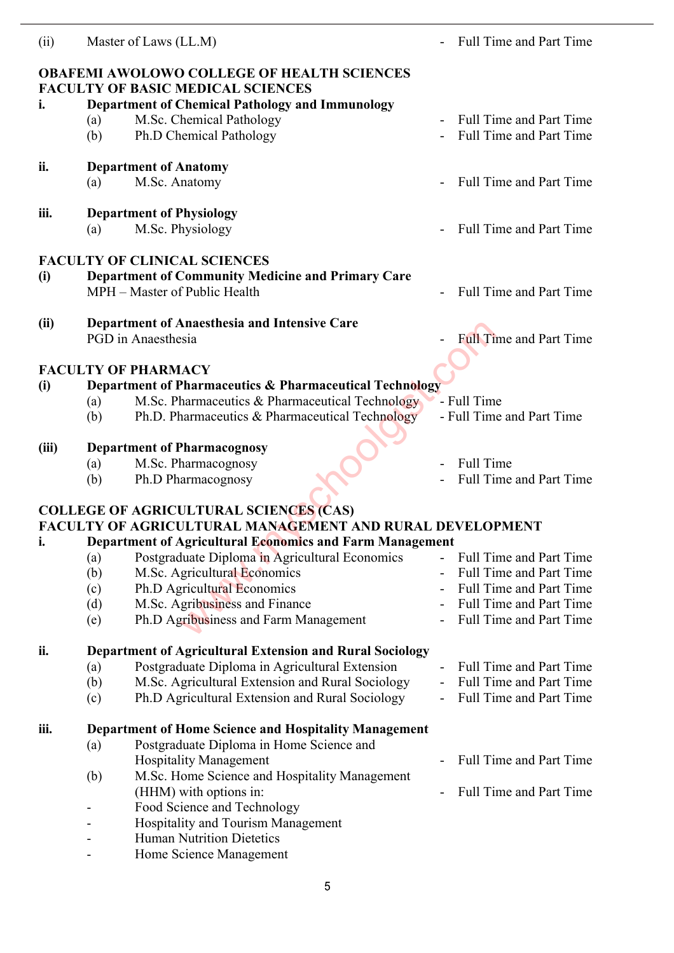| (ii)  | Master of Laws (LL.M)                                                                        | <b>Full Time and Part Time</b>                                 |  |  |  |  |  |
|-------|----------------------------------------------------------------------------------------------|----------------------------------------------------------------|--|--|--|--|--|
|       | <b>OBAFEMI AWOLOWO COLLEGE OF HEALTH SCIENCES</b>                                            |                                                                |  |  |  |  |  |
|       | <b>FACULTY OF BASIC MEDICAL SCIENCES</b>                                                     |                                                                |  |  |  |  |  |
| i.    | <b>Department of Chemical Pathology and Immunology</b>                                       |                                                                |  |  |  |  |  |
|       | M.Sc. Chemical Pathology<br>(a)                                                              | <b>Full Time and Part Time</b>                                 |  |  |  |  |  |
|       | Ph.D Chemical Pathology<br>(b)                                                               | <b>Full Time and Part Time</b>                                 |  |  |  |  |  |
| ii.   | <b>Department of Anatomy</b>                                                                 |                                                                |  |  |  |  |  |
|       | M.Sc. Anatomy<br>(a)                                                                         | <b>Full Time and Part Time</b>                                 |  |  |  |  |  |
|       |                                                                                              |                                                                |  |  |  |  |  |
| iii.  | <b>Department of Physiology</b>                                                              |                                                                |  |  |  |  |  |
|       | M.Sc. Physiology<br>(a)                                                                      | <b>Full Time and Part Time</b>                                 |  |  |  |  |  |
|       | <b>FACULTY OF CLINICAL SCIENCES</b>                                                          |                                                                |  |  |  |  |  |
| (i)   | <b>Department of Community Medicine and Primary Care</b>                                     |                                                                |  |  |  |  |  |
|       | MPH – Master of Public Health                                                                | <b>Full Time and Part Time</b>                                 |  |  |  |  |  |
| (ii)  | <b>Department of Anaesthesia and Intensive Care</b>                                          |                                                                |  |  |  |  |  |
|       | PGD in Anaesthesia                                                                           | <b>Full Time and Part Time</b>                                 |  |  |  |  |  |
|       |                                                                                              |                                                                |  |  |  |  |  |
|       | <b>FACULTY OF PHARMACY</b>                                                                   |                                                                |  |  |  |  |  |
| (i)   | Department of Pharmaceutics & Pharmaceutical Technology                                      |                                                                |  |  |  |  |  |
|       | M.Sc. Pharmaceutics & Pharmaceutical Technology<br>(a)                                       | - Full Time                                                    |  |  |  |  |  |
|       | Ph.D. Pharmaceutics & Pharmaceutical Technology<br>(b)                                       | - Full Time and Part Time                                      |  |  |  |  |  |
| (iii) | <b>Department of Pharmacognosy</b>                                                           |                                                                |  |  |  |  |  |
|       | M.Sc. Pharmacognosy<br>(a)                                                                   | <b>Full Time</b>                                               |  |  |  |  |  |
|       | Ph.D Pharmacognosy<br>(b)                                                                    | <b>Full Time and Part Time</b>                                 |  |  |  |  |  |
|       |                                                                                              |                                                                |  |  |  |  |  |
|       | <b>COLLEGE OF AGRICULTURAL SCIENCES (CAS)</b>                                                |                                                                |  |  |  |  |  |
|       | FACULTY OF AGRICULTURAL MANAGEMENT AND RURAL DEVELOPMENT                                     |                                                                |  |  |  |  |  |
| i.    | Department of Agricultural Economics and Farm Management                                     |                                                                |  |  |  |  |  |
|       | Postgraduate Diploma in Agricultural Economics<br>(a)<br>M.Sc. Agricultural Economics<br>(b) | Full Time and Part Time<br>Full Time and Part Time             |  |  |  |  |  |
|       | Ph.D Agricultural Economics<br>(c)                                                           | <b>Full Time and Part Time</b>                                 |  |  |  |  |  |
|       | M.Sc. Agribusiness and Finance<br>(d)                                                        | Full Time and Part Time                                        |  |  |  |  |  |
|       | Ph.D Agribusiness and Farm Management<br>(e)                                                 | <b>Full Time and Part Time</b>                                 |  |  |  |  |  |
|       |                                                                                              |                                                                |  |  |  |  |  |
| ii.   | <b>Department of Agricultural Extension and Rural Sociology</b>                              |                                                                |  |  |  |  |  |
|       | Postgraduate Diploma in Agricultural Extension<br>(a)                                        | <b>Full Time and Part Time</b>                                 |  |  |  |  |  |
|       | M.Sc. Agricultural Extension and Rural Sociology<br>(b)                                      | <b>Full Time and Part Time</b><br>$\qquad \qquad \blacksquare$ |  |  |  |  |  |
|       | Ph.D Agricultural Extension and Rural Sociology<br>(c)                                       | <b>Full Time and Part Time</b>                                 |  |  |  |  |  |
| iii.  | <b>Department of Home Science and Hospitality Management</b>                                 |                                                                |  |  |  |  |  |
|       | Postgraduate Diploma in Home Science and<br>(a)                                              |                                                                |  |  |  |  |  |
|       | <b>Hospitality Management</b>                                                                | <b>Full Time and Part Time</b>                                 |  |  |  |  |  |
|       | M.Sc. Home Science and Hospitality Management<br>(b)                                         |                                                                |  |  |  |  |  |
|       | (HHM) with options in:                                                                       | <b>Full Time and Part Time</b>                                 |  |  |  |  |  |
|       | Food Science and Technology                                                                  |                                                                |  |  |  |  |  |
|       | Hospitality and Tourism Management                                                           |                                                                |  |  |  |  |  |

- Human Nutrition Dietetics

J. J.

- Home Science Management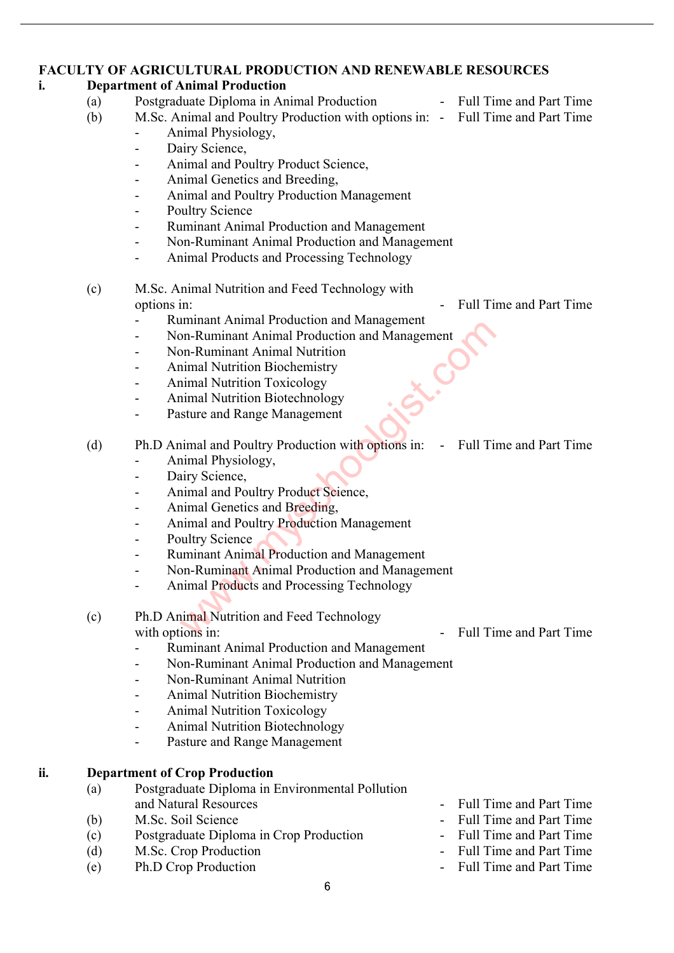#### **FACULTY OF AGRICULTURAL PRODUCTION AND RENEWABLE RESOURCES**

#### **i. Department of Animal Production**

- (a) Postgraduate Diploma in Animal Production Full Time and Part Time
- (b) M.Sc. Animal and Poultry Production with options in: Full Time and Part Time
	- Animal Physiology,
	- Dairy Science,
	- Animal and Poultry Product Science,
	- Animal Genetics and Breeding,
	- Animal and Poultry Production Management
	- Poultry Science
	- Ruminant Animal Production and Management
	- Non-Ruminant Animal Production and Management
	- Animal Products and Processing Technology
- (c) M.Sc. Animal Nutrition and Feed Technology with options in:  $\qquad \qquad - \qquad \qquad$  Full Time and Part Time
	-
	- Ruminant Animal Production and Management
	- Non-Ruminant Animal Production and Management
	- Non-Ruminant Animal Nutrition
	- Animal Nutrition Biochemistry
	- Animal Nutrition Toxicology
	- Animal Nutrition Biotechnology
	- Pasture and Range Management

(d) Ph.D Animal and Poultry Production with options in: - Full Time and Part Time

- Animal Physiology,
- Dairy Science,
- Animal and Poultry Product Science,
- Animal Genetics and Breeding,
- Animal and Poultry Production Management
- Poultry Science
- Ruminant Animal Production and Management
- Non-Ruminant Animal Production and Management
- Animal Products and Processing Technology
- (c) Ph.D Animal Nutrition and Feed Technology with options in:  $\qquad \qquad - \qquad \text{Full Time and Part Time}$ miniant Animal Production and Management<br>
The D. Ruminant Animal Production and Management<br>
In Palminant Animal Nutrition<br>
Innal Nutrition Toxicology<br>
11 and Nutrition Toxicology<br>
11 and Poultry Production with options in:
	- Ruminant Animal Production and Management
	- Non-Ruminant Animal Production and Management
	- Non-Ruminant Animal Nutrition
	- Animal Nutrition Biochemistry
	- Animal Nutrition Toxicology
	- Animal Nutrition Biotechnology
	- Pasture and Range Management

#### **ii. Department of Crop Production**

- (a) Postgraduate Diploma in Environmental Pollution
- (b) M.Sc. Soil Science Full Time and Part Time
- (c) Postgraduate Diploma in Crop Production Full Time and Part Time
- (d) M.Sc. Crop Production Full Time and Part Time
- (e) Ph.D Crop Production Full Time and Part Time
- and Natural Resources and Part Time and Part Time
	-
	-
	-
- -